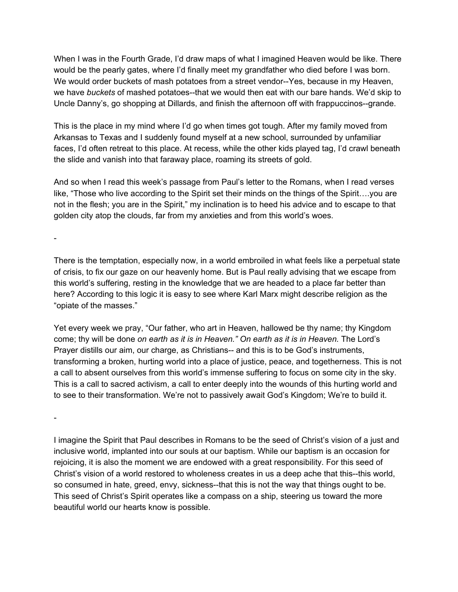When I was in the Fourth Grade, I'd draw maps of what I imagined Heaven would be like. There would be the pearly gates, where I'd finally meet my grandfather who died before I was born. We would order buckets of mash potatoes from a street vendor--Yes, because in my Heaven, we have *buckets* of mashed potatoes--that we would then eat with our bare hands. We'd skip to Uncle Danny's, go shopping at Dillards, and finish the afternoon off with frappuccinos--grande.

This is the place in my mind where I'd go when times got tough. After my family moved from Arkansas to Texas and I suddenly found myself at a new school, surrounded by unfamiliar faces, I'd often retreat to this place. At recess, while the other kids played tag, I'd crawl beneath the slide and vanish into that faraway place, roaming its streets of gold.

And so when I read this week's passage from Paul's letter to the Romans, when I read verses like, "Those who live according to the Spirit set their minds on the things of the Spirit….you are not in the flesh; you are in the Spirit," my inclination is to heed his advice and to escape to that golden city atop the clouds, far from my anxieties and from this world's woes.

-

There is the temptation, especially now, in a world embroiled in what feels like a perpetual state of crisis, to fix our gaze on our heavenly home. But is Paul really advising that we escape from this world's suffering, resting in the knowledge that we are headed to a place far better than here? According to this logic it is easy to see where Karl Marx might describe religion as the "opiate of the masses."

Yet every week we pray, "Our father, who art in Heaven, hallowed be thy name; thy Kingdom come; thy will be done *on earth as it is in Heaven." On earth as it is in Heaven.* The Lord's Prayer distills our aim, our charge, as Christians-- and this is to be God's instruments, transforming a broken, hurting world into a place of justice, peace, and togetherness. This is not a call to absent ourselves from this world's immense suffering to focus on some city in the sky. This is a call to sacred activism, a call to enter deeply into the wounds of this hurting world and to see to their transformation. We're not to passively await God's Kingdom; We're to build it.

-

I imagine the Spirit that Paul describes in Romans to be the seed of Christ's vision of a just and inclusive world, implanted into our souls at our baptism. While our baptism is an occasion for rejoicing, it is also the moment we are endowed with a great responsibility. For this seed of Christ's vision of a world restored to wholeness creates in us a deep ache that this--this world, so consumed in hate, greed, envy, sickness--that this is not the way that things ought to be. This seed of Christ's Spirit operates like a compass on a ship, steering us toward the more beautiful world our hearts know is possible.